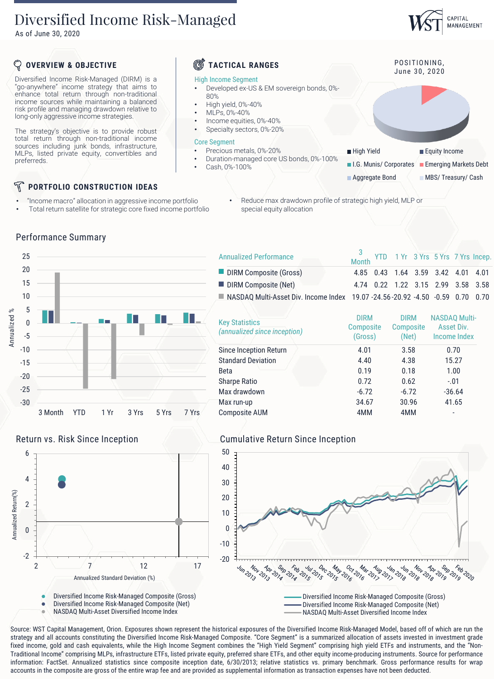# Diversified Income Risk-Managed

As of June 30, 2020

# CAPITAL MANAGEMENT

## **OVERVIEW & OBJECTIVE TACTICAL RANGES**

Diversified Income Risk-Managed (DIRM) is a "go-anywhere" income strategy that aims to enhance total return through non-traditional income sources while maintaining a balanced risk profile and managing drawdown relative to long-only aggressive income strategies.

The strategy's objective is to provide robust total return through non-traditional income sources including junk bonds, infrastructure, MLPs, listed private equity, convertibles and preferreds.

# **PORTFOLIO CONSTRUCTION IDEAS**

- "Income macro" allocation in aggressive income portfolio
- Total return satellite for strategic core fixed income portfolio

### High Income Segment

- Developed ex-US & EM sovereign bonds, 0%- 80%
- High yield, 0%-40%
- MLPs, 0%-40%
- Income equities, 0%-40%
- Specialty sectors, 0%-20%

### Core Segment

- Precious metals, 0%-20%
- Duration-managed core US bonds, 0%-100%
- Cash, 0%-100%

- High Yield **Equity Income**
- **I.G. Munis/ Corporates** Emerging Markets Debt

POSITIONING, June 30, 2020

**Aggregate Bond MBS/ Treasury/ Cash** 

• Reduce max drawdown profile of strategic high yield, MLP or special equity allocation





|  | <b>Key Statistics</b><br>(annualized since inception) | <b>DIRM</b><br><b>Composite</b><br>(Gross) | <b>DIRM</b><br><b>Composite</b><br>(Net) | <b>NASDAQ Multi-</b><br>Asset Div.<br>Income Index |  |
|--|-------------------------------------------------------|--------------------------------------------|------------------------------------------|----------------------------------------------------|--|
|  | Since Inception Return                                | 4.01                                       | 3.58                                     | 0.70                                               |  |
|  | <b>Standard Deviation</b>                             | 4.40                                       | 4.38                                     | 15.27                                              |  |
|  | <b>Beta</b>                                           | 0.19                                       | 0.18                                     | 1.00                                               |  |
|  | <b>Sharpe Ratio</b>                                   | 0.72                                       | 0.62                                     | $-.01$                                             |  |
|  | Max drawdown                                          | $-6.72$                                    | $-6.72$                                  | $-36.64$                                           |  |
|  | Max run-up                                            | 34.67                                      | 30.96                                    | 41.65                                              |  |
|  | <b>Composite AUM</b>                                  | 4MM                                        | 4MM                                      | -                                                  |  |
|  |                                                       |                                            |                                          |                                                    |  |





NASDAQ Multi-Asset Diversified Income Index

### Return vs. Risk Since Inception **Cumulative Return Since Inception**



NASDAQ Multi-Asset Diversified Income Index

Source: WST Capital Management, Orion. Exposures shown represent the historical exposures of the Diversified Income Risk-Managed Model, based off of which are run the strategy and all accounts constituting the Diversified Income Risk-Managed Composite. "Core Segment" is a summarized allocation of assets invested in investment grade fixed income, gold and cash equivalents, while the High Income Segment combines the "High Yield Segment" comprising high yield ETFs and instruments, and the "Non-Traditional Income" comprising MLPs, infrastructure ETFs, listed private equity, preferred share ETFs, and other equity income-producing instruments. Source for performance information: FactSet. Annualized statistics since composite inception date, 6/30/2013; relative statistics vs. primary benchmark. Gross performance results for wrap

## Performance Summary